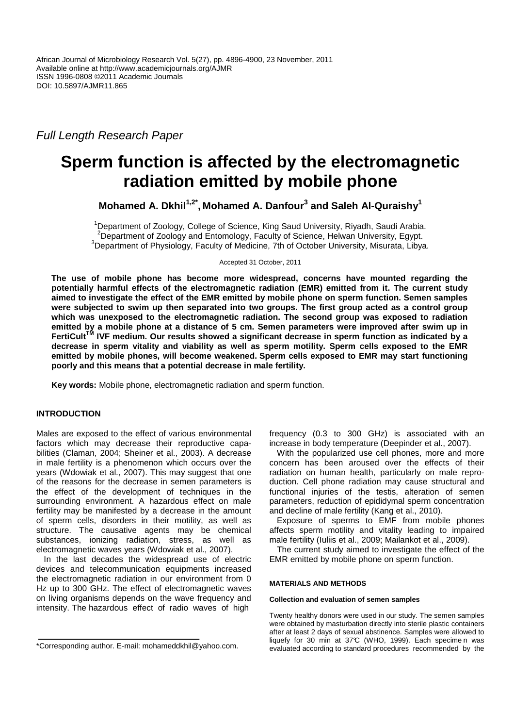Full Length Research Paper

# **Sperm function is affected by the electromagnetic radiation emitted by mobile phone**

**Mohamed A. Dkhil1,2\* , Mohamed A. Danfour<sup>3</sup> and Saleh Al-Quraishy<sup>1</sup>**

<sup>1</sup>Department of Zoology, College of Science, King Saud University, Riyadh, Saudi Arabia. <sup>2</sup>Department of Zoology and Entomology, Faculty of Science, Helwan University, Egypt. <sup>3</sup>Department of Physiology, Faculty of Medicine, 7th of October University, Misurata, Libya.

Accepted 31 October, 2011

**The use of mobile phone has become more widespread, concerns have mounted regarding the potentially harmful effects of the electromagnetic radiation (EMR) emitted from it. The current study aimed to investigate the effect of the EMR emitted by mobile phone on sperm function. Semen samples were subjected to swim up then separated into two groups. The first group acted as a control group which was unexposed to the electromagnetic radiation. The second group was exposed to radiation emitted by a mobile phone at a distance of 5 cm. Semen parameters were improved after swim up in FertiCultTM IVF medium. Our results showed a significant decrease in sperm function as indicated by a decrease in sperm vitality and viability as well as sperm motility. Sperm cells exposed to the EMR emitted by mobile phones, will become weakened. Sperm cells exposed to EMR may start functioning poorly and this means that a potential decrease in male fertility.** 

**Key words:** Mobile phone, electromagnetic radiation and sperm function.

# **INTRODUCTION**

Males are exposed to the effect of various environmental factors which may decrease their reproductive capabilities (Claman, 2004; Sheiner et al., 2003). A decrease in male fertility is a phenomenon which occurs over the years (Wdowiak et al., 2007). This may suggest that one of the reasons for the decrease in semen parameters is the effect of the development of techniques in the surrounding environment. A hazardous effect on male fertility may be manifested by a decrease in the amount of sperm cells, disorders in their motility, as well as structure. The causative agents may be chemical substances, ionizing radiation, stress, as well as electromagnetic waves years (Wdowiak et al., 2007).

In the last decades the widespread use of electric devices and telecommunication equipments increased the electromagnetic radiation in our environment from 0 Hz up to 300 GHz. The effect of electromagnetic waves on living organisms depends on the wave frequency and intensity. The hazardous effect of radio waves of high

frequency (0.3 to 300 GHz) is associated with an increase in body temperature (Deepinder et al., 2007).

With the popularized use cell phones, more and more concern has been aroused over the effects of their radiation on human health, particularly on male reproduction. Cell phone radiation may cause structural and functional injuries of the testis, alteration of semen parameters, reduction of epididymal sperm concentration and decline of male fertility (Kang et al., 2010).

Exposure of sperms to EMF from mobile phones affects sperm motility and vitality leading to impaired male fertility (Iuliis et al., 2009; Mailankot et al., 2009).

The current study aimed to investigate the effect of the EMR emitted by mobile phone on sperm function.

# **MATERIALS AND METHODS**

# **Collection and evaluation of semen samples**

Twenty healthy donors were used in our study. The semen samples were obtained by masturbation directly into sterile plastic containers after at least 2 days of sexual abstinence. Samples were allowed to liquefy for 30 min at 37°C (WHO, 1999). Each specime n was evaluated according to standard procedures recommended by the

<sup>\*</sup>Corresponding author. E-mail: mohameddkhil@yahoo.com.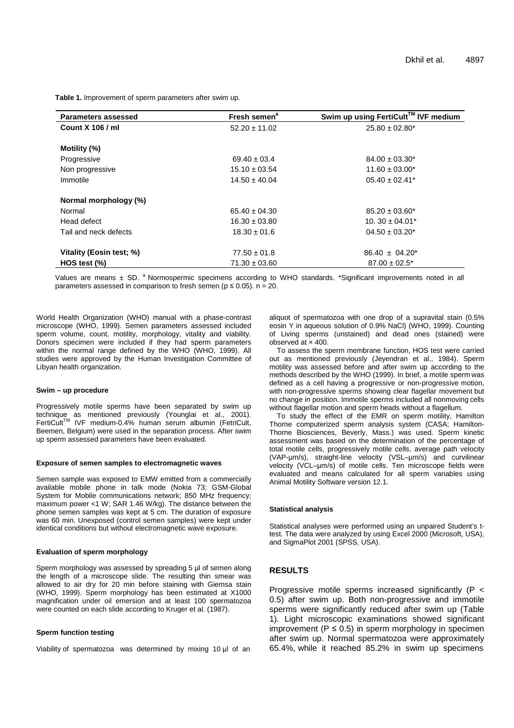**Table 1.** Improvement of sperm parameters after swim up.

| Parameters assessed      | Fresh semen <sup>a</sup> | Swim up using FertiCult™ IVF medium |
|--------------------------|--------------------------|-------------------------------------|
| <b>Count X 106 / ml</b>  | $52.20 \pm 11.02$        | $25.80 \pm 02.80^*$                 |
|                          |                          |                                     |
| Motility (%)             |                          |                                     |
| Progressive              | $69.40 \pm 03.4$         | $84.00 \pm 03.30^*$                 |
| Non progressive          | $15.10 \pm 03.54$        | $11.60 \pm 03.00^*$                 |
| Immotile                 | $14.50 \pm 40.04$        | $05.40 \pm 02.41^*$                 |
| Normal morphology (%)    |                          |                                     |
| Normal                   | $65.40 \pm 04.30$        | $85.20 \pm 03.60^*$                 |
| Head defect              | $16.30 \pm 03.80$        | $10.30 \pm 04.01^*$                 |
| Tail and neck defects    | $18.30 \pm 01.6$         | $04.50 \pm 03.20^*$                 |
| Vitality (Eosin test; %) | $77.50 \pm 01.8$         | $86.40 \pm 04.20^*$                 |
| $HOS$ test $(\%)$        | $71.30 \pm 03.60$        | $87.00 \pm 02.5^*$                  |

Values are means  $\pm$  SD. <sup>a</sup> Normospermic specimens according to WHO standards. \*Significant improvements noted in all parameters assessed in comparison to fresh semen ( $p \le 0.05$ ). n = 20.

World Health Organization (WHO) manual with a phase-contrast microscope (WHO, 1999). Semen parameters assessed included sperm volume, count, motility, morphology, vitality and viability. Donors specimen were included if they had sperm parameters within the normal range defined by the WHO (WHO, 1999). All studies were approved by the Human Investigation Committee of Libyan health organization.

### **Swim – up procedure**

Progressively motile sperms have been separated by swim up technique as mentioned previously (Younglai et al., 2001).<br>FertiCult™ IVF medium-0.4% human serum albumin (FetriCult, Beemen, Belgium) were used in the separation process. After swim up sperm assessed parameters have been evaluated.

### **Exposure of semen samples to electromagnetic waves**

Semen sample was exposed to EMW emitted from a commercially available mobile phone in talk mode (Nokia 73; GSM-Global System for Mobile communications network: 850 MHz frequency: maximum power <1 W; SAR 1.46 W/kg). The distance between the phone semen samples was kept at 5 cm. The duration of exposure was 60 min. Unexposed (control semen samples) were kept under identical conditions but without electromagnetic wave exposure.

## **Evaluation of sperm morphology**

Sperm morphology was assessed by spreading 5 ul of semen along the length of a microscope slide. The resulting thin smear was allowed to air dry for 20 min before staining with Giemsa stain (WHO, 1999). Sperm morphology has been estimated at X1000 magnification under oil emersion and at least 100 spermatozoa were counted on each slide according to Kruger et al. (1987).

## **Sperm function testing**

Viability of spermatozoa was determined by mixing 10 µl of an

aliquot of spermatozoa with one drop of a supravital stain (0.5% eosin Y in aqueous solution of 0.9% NaCl) (WHO, 1999). Counting of Living sperms (unstained) and dead ones (stained) were observed at × 400.

To assess the sperm membrane function, HOS test were carried out as mentioned previously (Jeyendran et al., 1984). Sperm motility was assessed before and after swim up according to the methods described by the WHO (1999). In brief, a motile sperm was defined as a cell having a progressive or non-progressive motion, with non-progressive sperms showing clear flagellar movement but no change in position. Immotile sperms included all nonmoving cells without flagellar motion and sperm heads without a flagellum.

To study the effect of the EMR on sperm motility, Hamilton Thorne computerized sperm analysis system (CASA; Hamilton-Thorne Biosciences, Beverly, Mass.) was used. Sperm kinetic assessment was based on the determination of the percentage of total motile cells, progressively motile cells, average path velocity (VAP-µm/s), straight-line velocity (VSL–µm/s) and curvilinear velocity (VCL–µm/s) of motile cells. Ten microscope fields were evaluated and means calculated for all sperm variables using Animal Motility Software version 12.1.

#### **Statistical analysis**

Statistical analyses were performed using an unpaired Student's ttest. The data were analyzed by using Excel 2000 (Microsoft, USA), and SigmaPlot 2001 (SPSS, USA).

## **RESULTS**

Progressive motile sperms increased significantly (P < 0.5) after swim up. Both non-progressive and immotile sperms were significantly reduced after swim up (Table 1). Light microscopic examinations showed significant improvement ( $P \le 0.5$ ) in sperm morphology in specimen after swim up. Normal spermatozoa were approximately 65.4%, while it reached 85.2% in swim up specimens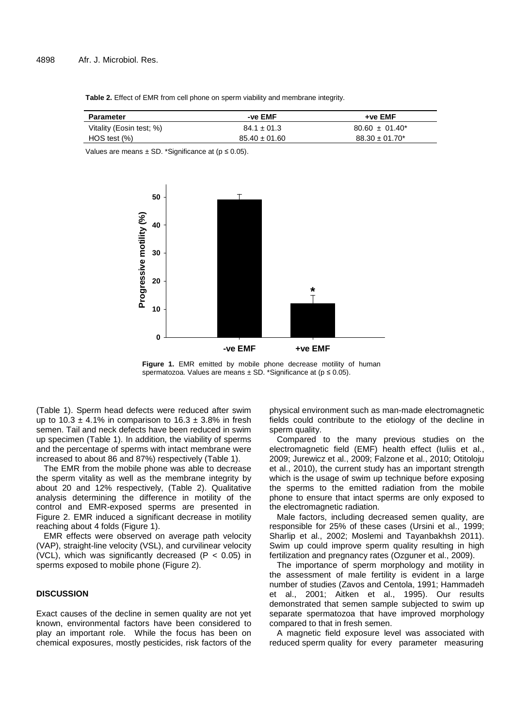**Table 2.** Effect of EMR from cell phone on sperm viability and membrane integrity.

| Parameter                | -ve EMF           | +ve EMF             |
|--------------------------|-------------------|---------------------|
| Vitality (Eosin test; %) | $84.1 \pm 01.3$   | $80.60 \pm 01.40^*$ |
| HOS test (%)             | $85.40 \pm 01.60$ | $88.30 \pm 01.70^*$ |

Values are means  $\pm$  SD. \*Significance at ( $p \le 0.05$ ).



**Figure 1.** EMR emitted by mobile phone decrease motility of human spermatozoa. Values are means  $\pm$  SD. \*Significance at ( $p \le 0.05$ ).

(Table 1). Sperm head defects were reduced after swim up to 10.3  $\pm$  4.1% in comparison to 16.3  $\pm$  3.8% in fresh semen. Tail and neck defects have been reduced in swim up specimen (Table 1). In addition, the viability of sperms and the percentage of sperms with intact membrane were increased to about 86 and 87%) respectively (Table 1).

The EMR from the mobile phone was able to decrease the sperm vitality as well as the membrane integrity by about 20 and 12% respectively, (Table 2). Qualitative analysis determining the difference in motility of the control and EMR-exposed sperms are presented in Figure 2. EMR induced a significant decrease in motility reaching about 4 folds (Figure 1).

EMR effects were observed on average path velocity (VAP), straight-line velocity (VSL), and curvilinear velocity (VCL), which was significantly decreased ( $P < 0.05$ ) in sperms exposed to mobile phone (Figure 2).

## **DISCUSSION**

Exact causes of the decline in semen quality are not yet known, environmental factors have been considered to play an important role. While the focus has been on chemical exposures, mostly pesticides, risk factors of the

physical environment such as man-made electromagnetic fields could contribute to the etiology of the decline in sperm quality.

Compared to the many previous studies on the electromagnetic field (EMF) health effect (Iuliis et al., 2009; Jurewicz et al., 2009; Falzone et al., 2010; Otitoloju et al., 2010), the current study has an important strength which is the usage of swim up technique before exposing the sperms to the emitted radiation from the mobile phone to ensure that intact sperms are only exposed to the electromagnetic radiation.

Male factors, including decreased semen quality, are responsible for 25% of these cases (Ursini et al., 1999; Sharlip et al., 2002; Moslemi and Tayanbakhsh 2011). Swim up could improve sperm quality resulting in high fertilization and pregnancy rates (Ozguner et al., 2009).

The importance of sperm morphology and motility in the assessment of male fertility is evident in a large number of studies (Zavos and Centola, 1991; Hammadeh et al., 2001; Aitken et al., 1995). Our results demonstrated that semen sample subjected to swim up separate spermatozoa that have improved morphology compared to that in fresh semen.

A magnetic field exposure level was associated with reduced sperm quality for every parameter measuring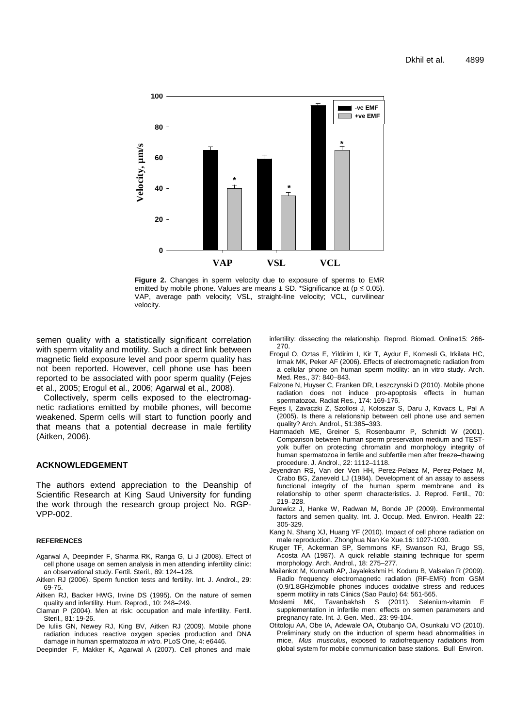

**Figure 2.** Changes in sperm velocity due to exposure of sperms to EMR emitted by mobile phone. Values are means  $\pm$  SD. \*Significance at ( $p \le 0.05$ ). VAP, average path velocity; VSL, straight-line velocity; VCL, curvilinear velocity.

semen quality with a statistically significant correlation with sperm vitality and motility. Such a direct link between magnetic field exposure level and poor sperm quality has not been reported. However, cell phone use has been reported to be associated with poor sperm quality (Fejes et al., 2005; Erogul et al., 2006; Agarwal et al., 2008).

Collectively, sperm cells exposed to the electromagnetic radiations emitted by mobile phones, will become weakened. Sperm cells will start to function poorly and that means that a potential decrease in male fertility (Aitken, 2006).

## **ACKNOWLEDGEMENT**

The authors extend appreciation to the Deanship of Scientific Research at King Saud University for funding the work through the research group project No. RGP-VPP-002.

### **REFERENCES**

- Agarwal A, Deepinder F, Sharma RK, Ranga G, Li J (2008). Effect of cell phone usage on semen analysis in men attending infertility clinic: an observational study. Fertil. Steril., 89: 124–128.
- Aitken RJ (2006). Sperm function tests and fertility. Int. J. Androl., 29: 69-75.
- Aitken RJ, Backer HWG, Irvine DS (1995). On the nature of semen quality and infertility. Hum. Reprod., 10: 248–249.
- Claman P (2004). Men at risk: occupation and male infertility. Fertil. Steril., 81: 19-26.
- De Iuliis GN, Newey RJ, King BV, Aitken RJ (2009). Mobile phone radiation induces reactive oxygen species production and DNA damage in human spermatozoa in vitro. PLoS One, 4: e6446.
- Deepinder F, Makker K, Agarwal A (2007). Cell phones and male

infertility: dissecting the relationship. Reprod. Biomed. Online15: 266- 270.

- Erogul O, Oztas E, Yildirim I, Kir T, Aydur E, Komesli G, Irkilata HC, Irmak MK, Peker AF (2006). Effects of electromagnetic radiation from a cellular phone on human sperm motility: an in vitro study. Arch. Med. Res., 37: 840–843.
- Falzone N, Huyser C, Franken DR, Leszczynski D (2010). Mobile phone radiation does not induce pro-apoptosis effects in human spermatozoa. Radiat Res., 174: 169-176.
- Fejes I, Zavaczki Z, Szollosi J, Koloszar S, Daru J, Kovacs L, Pal A (2005). Is there a relationship between cell phone use and semen quality? Arch. Androl., 51:385–393.
- Hammadeh ME, Greiner S, Rosenbaumr P, Schmidt W (2001). Comparison between human sperm preservation medium and TESTyolk buffer on protecting chromatin and morphology integrity of human spermatozoa in fertile and subfertile men after freeze–thawing procedure. J. Androl., 22: 1112–1118.
- Jeyendran RS, Van der Ven HH, Perez-Pelaez M, Perez-Pelaez M, Crabo BG, Zaneveld LJ (1984). Development of an assay to assess functional integrity of the human sperm membrane and its relationship to other sperm characteristics. J. Reprod. Fertil., 70: 219–228.
- Jurewicz J, Hanke W, Radwan M, Bonde JP (2009). Environmental factors and semen quality. Int. J. Occup. Med. Environ. Health 22: 305-329.
- Kang N, Shang XJ, Huang YF (2010). Impact of cell phone radiation on male reproduction. Zhonghua Nan Ke Xue.16: 1027-1030.
- Kruger TF, Ackerman SP, Semmons KF, Swanson RJ, Brugo SS, Acosta AA (1987). A quick reliable staining technique for sperm morphology. Arch. Androl., 18: 275–277.
- Mailankot M, Kunnath AP, Jayalekshmi H, Koduru B, Valsalan R (2009). Radio frequency electromagnetic radiation (RF-EMR) from GSM (0.9/1.8GHz)mobile phones induces oxidative stress and reduces sperm motility in rats Clinics (Sao Paulo) 64: 561-565.<br>Moslemi MK. Tavanbakhsh S (2011). Selenium-vitamin
- Tavanbakhsh S (2011). Selenium-vitamin E supplementation in infertile men: effects on semen parameters and pregnancy rate. Int. J. Gen. Med., 23: 99-104.
- Otitoloju AA, Obe IA, Adewale OA, Otubanjo OA, Osunkalu VO (2010). Preliminary study on the induction of sperm head abnormalities in mice, Mus musculus, exposed to radiofrequency radiations from global system for mobile communication base stations. Bull Environ.